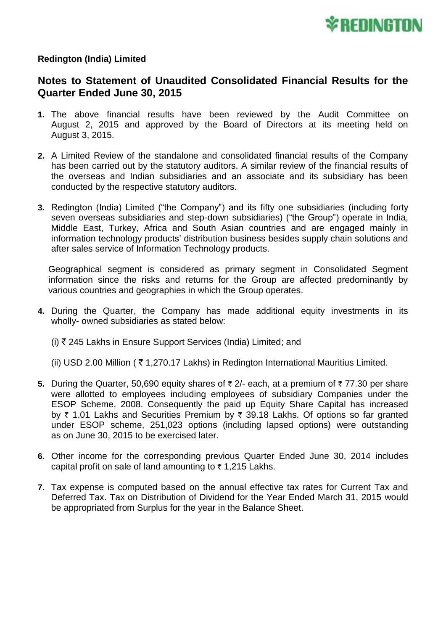

## **Redington (India) Limited**

## **Notes to Statement of Unaudited Consolidated Financial Results for the Quarter Ended June 30, 2015**

- **1.** The above financial results have been reviewed by the Audit Committee on August 2, 2015 and approved by the Board of Directors at its meeting held on August 3, 2015.
- **2.** A Limited Review of the standalone and consolidated financial results of the Company has been carried out by the statutory auditors. A similar review of the financial results of the overseas and Indian subsidiaries and an associate and its subsidiary has been conducted by the respective statutory auditors.
- **3.** Redington (India) Limited ("the Company") and its fifty one subsidiaries (including forty seven overseas subsidiaries and step-down subsidiaries) ("the Group") operate in India, Middle East, Turkey, Africa and South Asian countries and are engaged mainly in information technology products' distribution business besides supply chain solutions and after sales service of Information Technology products.

Geographical segment is considered as primary segment in Consolidated Segment information since the risks and returns for the Group are affected predominantly by various countries and geographies in which the Group operates.

- **4.** During the Quarter, the Company has made additional equity investments in its wholly- owned subsidiaries as stated below:
	- (i)  $\bar{\tau}$  245 Lakhs in Ensure Support Services (India) Limited; and
	- (ii) USD 2.00 Million ( $\bar{\tau}$  1,270.17 Lakhs) in Redington International Mauritius Limited.
- **5.** During the Quarter, 50,690 equity shares of  $\bar{\tau}$  2/- each, at a premium of  $\bar{\tau}$  77.30 per share were allotted to employees including employees of subsidiary Companies under the ESOP Scheme, 2008. Consequently the paid up Equity Share Capital has increased by  $\bar{\tau}$  1.01 Lakhs and Securities Premium by  $\bar{\tau}$  39.18 Lakhs. Of options so far granted under ESOP scheme, 251,023 options (including lapsed options) were outstanding as on June 30, 2015 to be exercised later.
- **6.** Other income for the corresponding previous Quarter Ended June 30, 2014 includes capital profit on sale of land amounting to  $\bar{\tau}$  1,215 Lakhs.
- **7.** Tax expense is computed based on the annual effective tax rates for Current Tax and Deferred Tax. Tax on Distribution of Dividend for the Year Ended March 31, 2015 would be appropriated from Surplus for the year in the Balance Sheet.